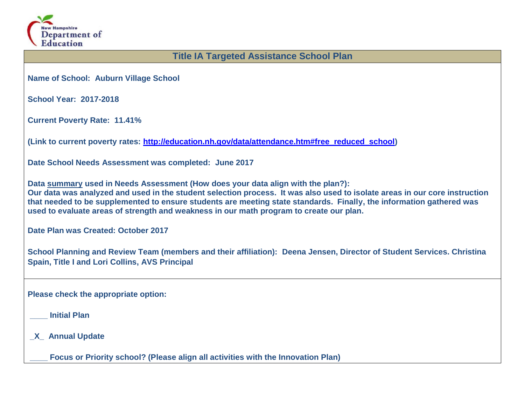

## **Title IA Targeted Assistance School Plan**

**Name of School: Auburn Village School**

**School Year: 2017-2018**

**Current Poverty Rate: 11.41%**

**(Link to current poverty rates: [http://education.nh.gov/data/attendance.htm#free\\_reduced\\_school\)](http://education.nh.gov/data/attendance.htm#free_reduced_school)**

**Date School Needs Assessment was completed: June 2017**

**Data summary used in Needs Assessment (How does your data align with the plan?): Our data was analyzed and used in the student selection process. It was also used to isolate areas in our core instruction that needed to be supplemented to ensure students are meeting state standards. Finally, the information gathered was used to evaluate areas of strength and weakness in our math program to create our plan.** 

**Date Plan was Created: October 2017**

**School Planning and Review Team (members and their affiliation): Deena Jensen, Director of Student Services. Christina Spain, Title I and Lori Collins, AVS Principal**

**Please check the appropriate option:**

**\_\_\_\_ Initial Plan** 

**\_X\_ Annual Update** 

**\_\_\_\_ Focus or Priority school? (Please align all activities with the Innovation Plan)**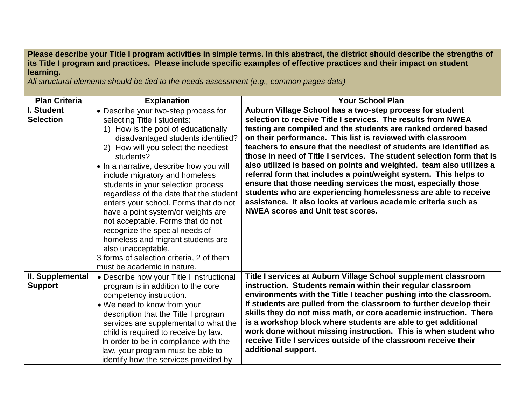**Please describe your Title I program activities in simple terms. In this abstract, the district should describe the strengths of its Title I program and practices. Please include specific examples of effective practices and their impact on student learning.**

*All structural elements should be tied to the needs assessment (e.g., common pages data)*

| <b>Plan Criteria</b> | <b>Explanation</b>                        | <b>Your School Plan</b>                                                                                                                 |
|----------------------|-------------------------------------------|-----------------------------------------------------------------------------------------------------------------------------------------|
| I. Student           | • Describe your two-step process for      | Auburn Village School has a two-step process for student                                                                                |
| <b>Selection</b>     | selecting Title I students:               | selection to receive Title I services. The results from NWEA                                                                            |
|                      | 1) How is the pool of educationally       | testing are compiled and the students are ranked ordered based                                                                          |
|                      | disadvantaged students identified?        | on their performance. This list is reviewed with classroom                                                                              |
|                      | 2) How will you select the neediest       | teachers to ensure that the neediest of students are identified as                                                                      |
|                      | students?                                 | those in need of Title I services. The student selection form that is                                                                   |
|                      | • In a narrative, describe how you will   | also utilized is based on points and weighted. team also utilizes a                                                                     |
|                      | include migratory and homeless            | referral form that includes a point/weight system. This helps to                                                                        |
|                      | students in your selection process        | ensure that those needing services the most, especially those                                                                           |
|                      | regardless of the date that the student   | students who are experiencing homelessness are able to receive                                                                          |
|                      | enters your school. Forms that do not     | assistance. It also looks at various academic criteria such as                                                                          |
|                      | have a point system/or weights are        | <b>NWEA scores and Unit test scores.</b>                                                                                                |
|                      | not acceptable. Forms that do not         |                                                                                                                                         |
|                      | recognize the special needs of            |                                                                                                                                         |
|                      | homeless and migrant students are         |                                                                                                                                         |
|                      | also unacceptable.                        |                                                                                                                                         |
|                      | 3 forms of selection criteria, 2 of them  |                                                                                                                                         |
|                      | must be academic in nature.               |                                                                                                                                         |
| II. Supplemental     | • Describe how your Title I instructional | Title I services at Auburn Village School supplement classroom                                                                          |
| <b>Support</b>       | program is in addition to the core        | instruction. Students remain within their regular classroom                                                                             |
|                      | competency instruction.                   | environments with the Title I teacher pushing into the classroom.<br>If students are pulled from the classroom to further develop their |
|                      | • We need to know from your               | skills they do not miss math, or core academic instruction. There                                                                       |
|                      | description that the Title I program      | is a workshop block where students are able to get additional                                                                           |
|                      | services are supplemental to what the     | work done without missing instruction. This is when student who                                                                         |
|                      | child is required to receive by law.      | receive Title I services outside of the classroom receive their                                                                         |
|                      | In order to be in compliance with the     | additional support.                                                                                                                     |
|                      | law, your program must be able to         |                                                                                                                                         |
|                      | identify how the services provided by     |                                                                                                                                         |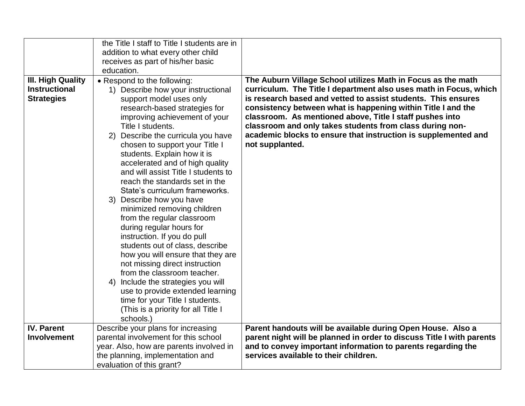|                          | the Title I staff to Title I students are in            |                                                                       |
|--------------------------|---------------------------------------------------------|-----------------------------------------------------------------------|
|                          | addition to what every other child                      |                                                                       |
|                          | receives as part of his/her basic                       |                                                                       |
|                          | education.                                              |                                                                       |
| <b>III. High Quality</b> | • Respond to the following:                             | The Auburn Village School utilizes Math in Focus as the math          |
| <b>Instructional</b>     | 1) Describe how your instructional                      | curriculum. The Title I department also uses math in Focus, which     |
| <b>Strategies</b>        | support model uses only                                 | is research based and vetted to assist students. This ensures         |
|                          | research-based strategies for                           | consistency between what is happening within Title I and the          |
|                          | improving achievement of your                           | classroom. As mentioned above, Title I staff pushes into              |
|                          | Title I students.                                       | classroom and only takes students from class during non-              |
|                          | 2) Describe the curricula you have                      | academic blocks to ensure that instruction is supplemented and        |
|                          | chosen to support your Title I                          | not supplanted.                                                       |
|                          | students. Explain how it is                             |                                                                       |
|                          | accelerated and of high quality                         |                                                                       |
|                          | and will assist Title I students to                     |                                                                       |
|                          | reach the standards set in the                          |                                                                       |
|                          | State's curriculum frameworks.                          |                                                                       |
|                          | 3) Describe how you have<br>minimized removing children |                                                                       |
|                          | from the regular classroom                              |                                                                       |
|                          | during regular hours for                                |                                                                       |
|                          | instruction. If you do pull                             |                                                                       |
|                          | students out of class, describe                         |                                                                       |
|                          | how you will ensure that they are                       |                                                                       |
|                          | not missing direct instruction                          |                                                                       |
|                          | from the classroom teacher.                             |                                                                       |
|                          | 4) Include the strategies you will                      |                                                                       |
|                          | use to provide extended learning                        |                                                                       |
|                          | time for your Title I students.                         |                                                                       |
|                          | (This is a priority for all Title I                     |                                                                       |
|                          | schools.)                                               |                                                                       |
| <b>IV. Parent</b>        | Describe your plans for increasing                      | Parent handouts will be available during Open House. Also a           |
| Involvement              | parental involvement for this school                    | parent night will be planned in order to discuss Title I with parents |
|                          | year. Also, how are parents involved in                 | and to convey important information to parents regarding the          |
|                          | the planning, implementation and                        | services available to their children.                                 |
|                          | evaluation of this grant?                               |                                                                       |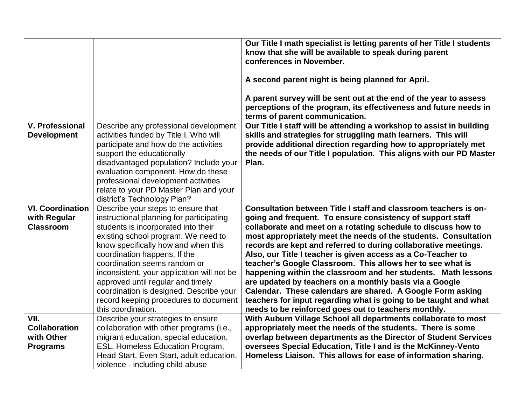|                                              |                                                                                                                                                                                                                           | Our Title I math specialist is letting parents of her Title I students<br>know that she will be available to speak during parent                                                                         |
|----------------------------------------------|---------------------------------------------------------------------------------------------------------------------------------------------------------------------------------------------------------------------------|----------------------------------------------------------------------------------------------------------------------------------------------------------------------------------------------------------|
|                                              |                                                                                                                                                                                                                           | conferences in November.                                                                                                                                                                                 |
|                                              |                                                                                                                                                                                                                           | A second parent night is being planned for April.                                                                                                                                                        |
|                                              |                                                                                                                                                                                                                           | A parent survey will be sent out at the end of the year to assess<br>perceptions of the program, its effectiveness and future needs in<br>terms of parent communication.                                 |
| <b>V. Professional</b><br><b>Development</b> | Describe any professional development<br>activities funded by Title I. Who will<br>participate and how do the activities                                                                                                  | Our Title I staff will be attending a workshop to assist in building<br>skills and strategies for struggling math learners. This will<br>provide additional direction regarding how to appropriately met |
|                                              | support the educationally<br>disadvantaged population? Include your<br>evaluation component. How do these<br>professional development activities<br>relate to your PD Master Plan and your<br>district's Technology Plan? | the needs of our Title I population. This aligns with our PD Master<br>Plan.                                                                                                                             |
| <b>VI. Coordination</b>                      | Describe your steps to ensure that                                                                                                                                                                                        | Consultation between Title I staff and classroom teachers is on-                                                                                                                                         |
| with Regular<br><b>Classroom</b>             | instructional planning for participating                                                                                                                                                                                  | going and frequent. To ensure consistency of support staff                                                                                                                                               |
|                                              | students is incorporated into their<br>existing school program. We need to                                                                                                                                                | collaborate and meet on a rotating schedule to discuss how to<br>most appropriately meet the needs of the students. Consultation                                                                         |
|                                              | know specifically how and when this                                                                                                                                                                                       | records are kept and referred to during collaborative meetings.                                                                                                                                          |
|                                              | coordination happens. If the                                                                                                                                                                                              | Also, our Title I teacher is given access as a Co-Teacher to                                                                                                                                             |
|                                              | coordination seems random or                                                                                                                                                                                              | teacher's Google Classroom. This allows her to see what is                                                                                                                                               |
|                                              | inconsistent, your application will not be                                                                                                                                                                                | happening within the classroom and her students. Math lessons                                                                                                                                            |
|                                              | approved until regular and timely<br>coordination is designed. Describe your                                                                                                                                              | are updated by teachers on a monthly basis via a Google<br>Calendar. These calendars are shared. A Google Form asking                                                                                    |
|                                              | record keeping procedures to document                                                                                                                                                                                     | teachers for input regarding what is going to be taught and what                                                                                                                                         |
|                                              | this coordination.                                                                                                                                                                                                        | needs to be reinforced goes out to teachers monthly.                                                                                                                                                     |
| VII.                                         | Describe your strategies to ensure                                                                                                                                                                                        | With Auburn Village School all departments collaborate to most                                                                                                                                           |
| <b>Collaboration</b>                         | collaboration with other programs (i.e.,                                                                                                                                                                                  | appropriately meet the needs of the students. There is some                                                                                                                                              |
| with Other                                   | migrant education, special education,                                                                                                                                                                                     | overlap between departments as the Director of Student Services                                                                                                                                          |
| <b>Programs</b>                              | ESL, Homeless Education Program,                                                                                                                                                                                          | oversees Special Education, Title I and is the McKinney-Vento                                                                                                                                            |
|                                              | Head Start, Even Start, adult education,<br>violence - including child abuse                                                                                                                                              | Homeless Liaison. This allows for ease of information sharing.                                                                                                                                           |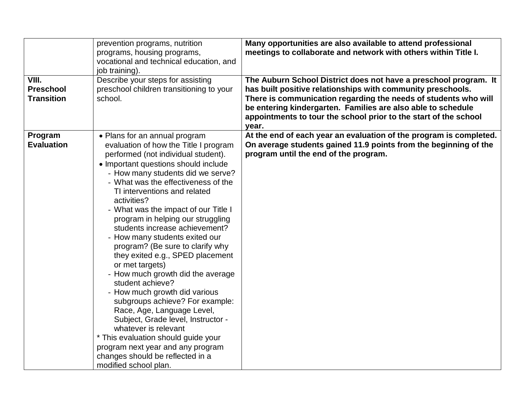|                   | prevention programs, nutrition           | Many opportunities are also available to attend professional       |
|-------------------|------------------------------------------|--------------------------------------------------------------------|
|                   | programs, housing programs,              | meetings to collaborate and network with others within Title I.    |
|                   | vocational and technical education, and  |                                                                    |
|                   | job training).                           |                                                                    |
| VIII.             | Describe your steps for assisting        | The Auburn School District does not have a preschool program. It   |
| <b>Preschool</b>  | preschool children transitioning to your | has built positive relationships with community preschools.        |
| <b>Transition</b> | school.                                  | There is communication regarding the needs of students who will    |
|                   |                                          | be entering kindergarten. Families are also able to schedule       |
|                   |                                          | appointments to tour the school prior to the start of the school   |
|                   |                                          | year.                                                              |
| Program           | • Plans for an annual program            | At the end of each year an evaluation of the program is completed. |
| <b>Evaluation</b> | evaluation of how the Title I program    | On average students gained 11.9 points from the beginning of the   |
|                   | performed (not individual student).      | program until the end of the program.                              |
|                   | • Important questions should include     |                                                                    |
|                   | - How many students did we serve?        |                                                                    |
|                   | - What was the effectiveness of the      |                                                                    |
|                   | TI interventions and related             |                                                                    |
|                   | activities?                              |                                                                    |
|                   | - What was the impact of our Title I     |                                                                    |
|                   | program in helping our struggling        |                                                                    |
|                   | students increase achievement?           |                                                                    |
|                   | - How many students exited our           |                                                                    |
|                   | program? (Be sure to clarify why         |                                                                    |
|                   | they exited e.g., SPED placement         |                                                                    |
|                   | or met targets)                          |                                                                    |
|                   | - How much growth did the average        |                                                                    |
|                   | student achieve?                         |                                                                    |
|                   | - How much growth did various            |                                                                    |
|                   | subgroups achieve? For example:          |                                                                    |
|                   | Race, Age, Language Level,               |                                                                    |
|                   | Subject, Grade level, Instructor -       |                                                                    |
|                   | whatever is relevant                     |                                                                    |
|                   | * This evaluation should guide your      |                                                                    |
|                   | program next year and any program        |                                                                    |
|                   | changes should be reflected in a         |                                                                    |
|                   | modified school plan.                    |                                                                    |